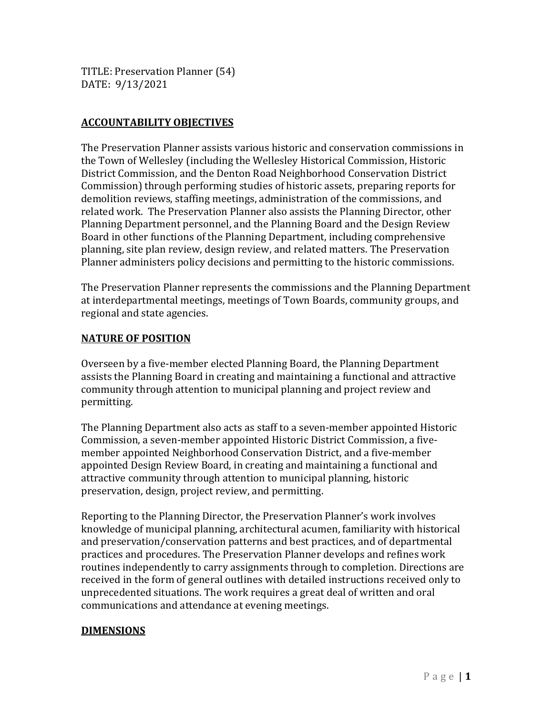TITLE: Preservation Planner (54) DATE: 9/13/2021

# **ACCOUNTABILITY OBJECTIVES**

The Preservation Planner assists various historic and conservation commissions in the Town of Wellesley (including the Wellesley Historical Commission, Historic District Commission, and the Denton Road Neighborhood Conservation District Commission) through performing studies of historic assets, preparing reports for demolition reviews, staffing meetings, administration of the commissions, and related work. The Preservation Planner also assists the Planning Director, other Planning Department personnel, and the Planning Board and the Design Review Board in other functions of the Planning Department, including comprehensive planning, site plan review, design review, and related matters. The Preservation Planner administers policy decisions and permitting to the historic commissions.

The Preservation Planner represents the commissions and the Planning Department at interdepartmental meetings, meetings of Town Boards, community groups, and regional and state agencies.

# **NATURE OF POSITION**

Overseen by a five-member elected Planning Board, the Planning Department assists the Planning Board in creating and maintaining a functional and attractive community through attention to municipal planning and project review and permitting.

The Planning Department also acts as staff to a seven-member appointed Historic Commission, a seven-member appointed Historic District Commission, a fivemember appointed Neighborhood Conservation District, and a five-member appointed Design Review Board, in creating and maintaining a functional and attractive community through attention to municipal planning, historic preservation, design, project review, and permitting.

Reporting to the Planning Director, the Preservation Planner's work involves knowledge of municipal planning, architectural acumen, familiarity with historical and preservation/conservation patterns and best practices, and of departmental practices and procedures. The Preservation Planner develops and refines work routines independently to carry assignments through to completion. Directions are received in the form of general outlines with detailed instructions received only to unprecedented situations. The work requires a great deal of written and oral communications and attendance at evening meetings.

# **DIMENSIONS**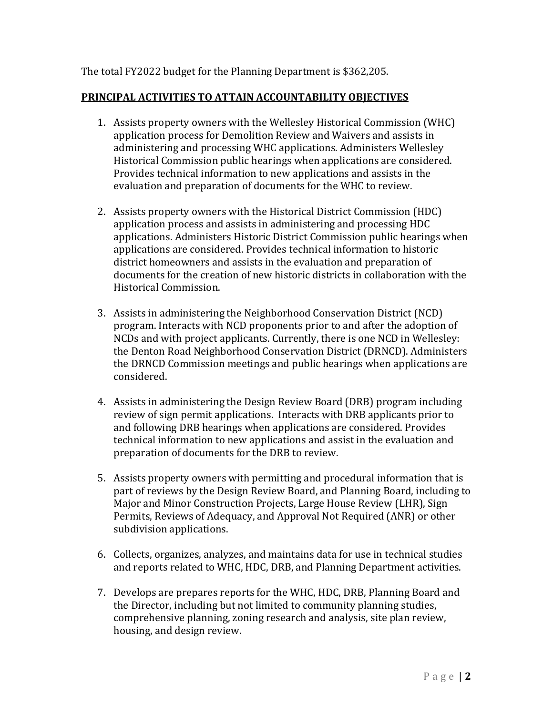### The total FY2022 budget for the Planning Department is \$362,205.

### **PRINCIPAL ACTIVITIES TO ATTAIN ACCOUNTABILITY OBJECTIVES**

- 1. Assists property owners with the Wellesley Historical Commission (WHC) application process for Demolition Review and Waivers and assists in administering and processing WHC applications. Administers Wellesley Historical Commission public hearings when applications are considered. Provides technical information to new applications and assists in the evaluation and preparation of documents for the WHC to review.
- 2. Assists property owners with the Historical District Commission (HDC) application process and assists in administering and processing HDC applications. Administers Historic District Commission public hearings when applications are considered. Provides technical information to historic district homeowners and assists in the evaluation and preparation of documents for the creation of new historic districts in collaboration with the Historical Commission.
- 3. Assists in administering the Neighborhood Conservation District (NCD) program. Interacts with NCD proponents prior to and after the adoption of NCDs and with project applicants. Currently, there is one NCD in Wellesley: the Denton Road Neighborhood Conservation District (DRNCD). Administers the DRNCD Commission meetings and public hearings when applications are considered.
- 4. Assists in administering the Design Review Board (DRB) program including review of sign permit applications. Interacts with DRB applicants prior to and following DRB hearings when applications are considered. Provides technical information to new applications and assist in the evaluation and preparation of documents for the DRB to review.
- 5. Assists property owners with permitting and procedural information that is part of reviews by the Design Review Board, and Planning Board, including to Major and Minor Construction Projects, Large House Review (LHR), Sign Permits, Reviews of Adequacy, and Approval Not Required (ANR) or other subdivision applications.
- 6. Collects, organizes, analyzes, and maintains data for use in technical studies and reports related to WHC, HDC, DRB, and Planning Department activities.
- 7. Develops are prepares reports for the WHC, HDC, DRB, Planning Board and the Director, including but not limited to community planning studies, comprehensive planning, zoning research and analysis, site plan review, housing, and design review.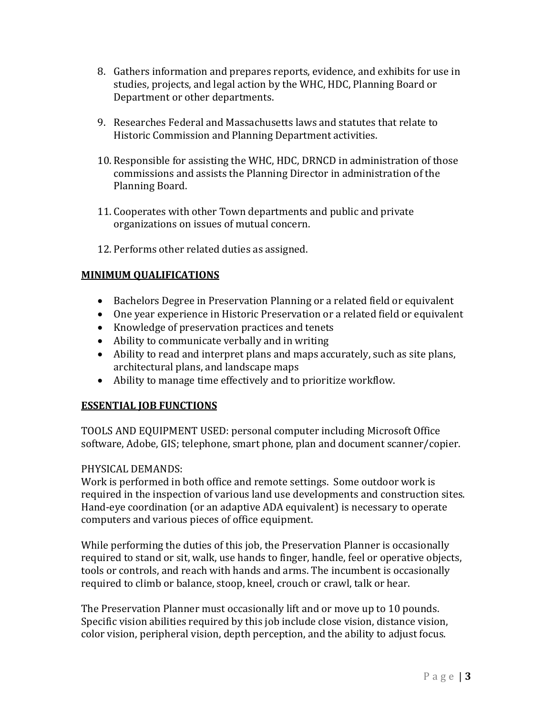- 8. Gathers information and prepares reports, evidence, and exhibits for use in studies, projects, and legal action by the WHC, HDC, Planning Board or Department or other departments.
- 9. Researches Federal and Massachusetts laws and statutes that relate to Historic Commission and Planning Department activities.
- 10. Responsible for assisting the WHC, HDC, DRNCD in administration of those commissions and assists the Planning Director in administration of the Planning Board.
- 11. Cooperates with other Town departments and public and private organizations on issues of mutual concern.
- 12. Performs other related duties as assigned.

### **MINIMUM QUALIFICATIONS**

- Bachelors Degree in Preservation Planning or a related field or equivalent
- One year experience in Historic Preservation or a related field or equivalent
- Knowledge of preservation practices and tenets
- Ability to communicate verbally and in writing
- Ability to read and interpret plans and maps accurately, such as site plans, architectural plans, and landscape maps
- Ability to manage time effectively and to prioritize workflow.

### **ESSENTIAL JOB FUNCTIONS**

TOOLS AND EQUIPMENT USED: personal computer including Microsoft Office software, Adobe, GIS; telephone, smart phone, plan and document scanner/copier.

### PHYSICAL DEMANDS:

Work is performed in both office and remote settings. Some outdoor work is required in the inspection of various land use developments and construction sites. Hand-eye coordination (or an adaptive ADA equivalent) is necessary to operate computers and various pieces of office equipment.

While performing the duties of this job, the Preservation Planner is occasionally required to stand or sit, walk, use hands to finger, handle, feel or operative objects, tools or controls, and reach with hands and arms. The incumbent is occasionally required to climb or balance, stoop, kneel, crouch or crawl, talk or hear.

The Preservation Planner must occasionally lift and or move up to 10 pounds. Specific vision abilities required by this job include close vision, distance vision, color vision, peripheral vision, depth perception, and the ability to adjust focus.